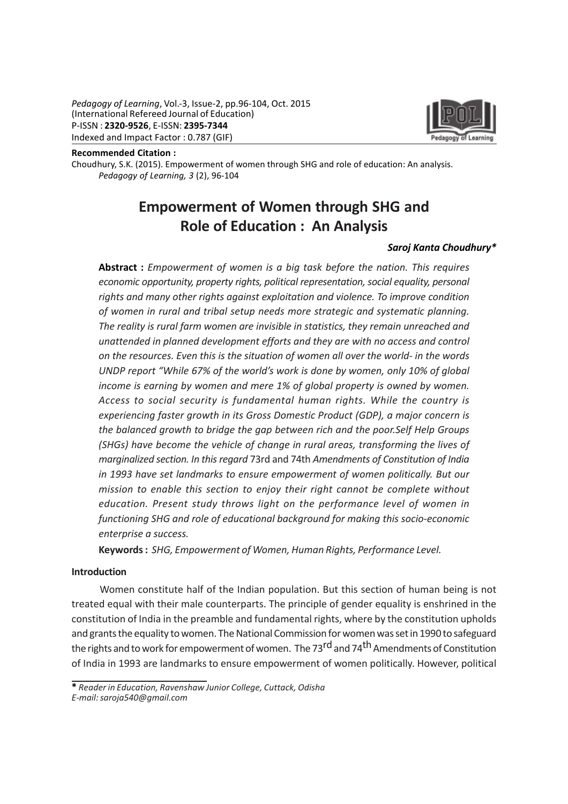Pedagogy of Learning, Vol.-3, Issue-2, pp.96-104, Oct. 2015 (International Refereed Journal of Education) P-ISSN : 2320-9526, E-ISSN: 2395-7344 Indexed and Impact Factor : 0.787 (GIF)



Recommended Citation :

Choudhury, S.K. (2015). Empowerment of women through SHG and role of education: An analysis. Pedagogy of Learning, 3 (2), 96-104

# Empowerment of Women through SHG and Role of Education : An Analysis

#### Saroj Kanta Choudhury\*

Abstract: Empowerment of women is a big task before the nation. This requires economic opportunity, property rights, political representation, social equality, personal rights and many other rights against exploitation and violence. To improve condition of women in rural and tribal setup needs more strategic and systematic planning. The reality is rural farm women are invisible in statistics, they remain unreached and unattended in planned development efforts and they are with no access and control on the resources. Even this is the situation of women all over the world- in the words UNDP report "While 67% of the world's work is done by women, only 10% of global income is earning by women and mere 1% of global property is owned by women. Access to social security is fundamental human rights. While the country is experiencing faster growth in its Gross Domestic Product (GDP), a major concern is the balanced growth to bridge the gap between rich and the poor.Self Help Groups (SHGs) have become the vehicle of change in rural areas, transforming the lives of marginalized section. In this regard 73rd and 74th Amendments of Constitution of India in 1993 have set landmarks to ensure empowerment of women politically. But our mission to enable this section to enjoy their right cannot be complete without education. Present study throws light on the performance level of women in functioning SHG and role of educational background for making this socio-economic enterprise a success.

Keywords : SHG, Empowerment of Women, Human Rights, Performance Level.

#### Introduction

Women constitute half of the Indian population. But this section of human being is not treated equal with their male counterparts. The principle of gender equality is enshrined in the constitution of India in the preamble and fundamental rights, where by the constitution upholds and grants the equality to women. The National Commission for women was set in 1990 to safeguard the rights and to work for empowerment of women. The 73<sup>rd</sup> and 74<sup>th</sup> Amendments of Constitution of India in 1993 are landmarks to ensure empowerment of women politically. However, political

\* Reader in Education, Ravenshaw Junior College, Cuttack, Odisha E-mail: saroja540@gmail.com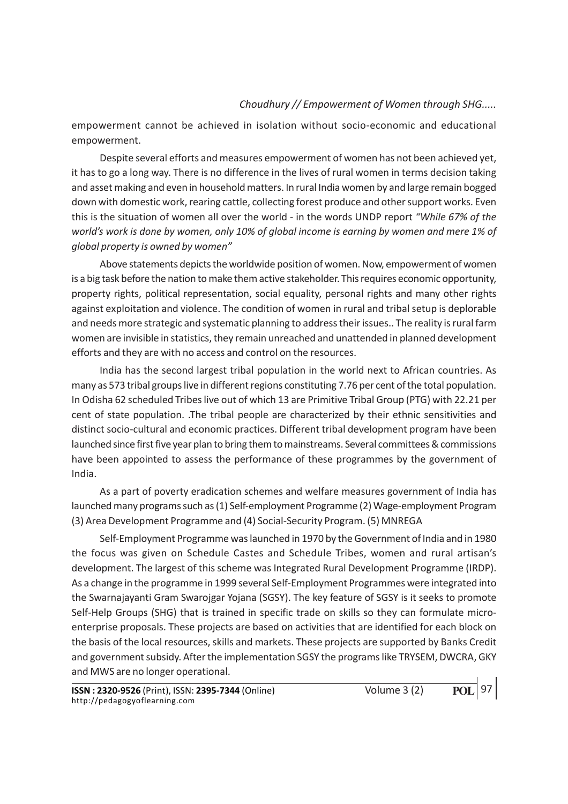empowerment cannot be achieved in isolation without socio-economic and educational empowerment.

Despite several efforts and measures empowerment of women has not been achieved yet, it has to go a long way. There is no difference in the lives of rural women in terms decision taking and asset making and even in household matters. In rural India women by and large remain bogged down with domestic work, rearing cattle, collecting forest produce and other support works. Even this is the situation of women all over the world - in the words UNDP report "While 67% of the world's work is done by women, only 10% of global income is earning by women and mere 1% of global property is owned by women"

Above statements depicts the worldwide position of women. Now, empowerment of women is a big task before the nation to make them active stakeholder. This requires economic opportunity, property rights, political representation, social equality, personal rights and many other rights against exploitation and violence. The condition of women in rural and tribal setup is deplorable and needs more strategic and systematic planning to address their issues.. The reality is rural farm women are invisible in statistics, they remain unreached and unattended in planned development efforts and they are with no access and control on the resources.

India has the second largest tribal population in the world next to African countries. As many as 573 tribal groups live in different regions constituting 7.76 per cent of the total population. In Odisha 62 scheduled Tribes live out of which 13 are Primitive Tribal Group (PTG) with 22.21 per cent of state population. .The tribal people are characterized by their ethnic sensitivities and distinct socio-cultural and economic practices. Different tribal development program have been launched since first five year plan to bring them to mainstreams. Several committees & commissions have been appointed to assess the performance of these programmes by the government of India.

As a part of poverty eradication schemes and welfare measures government of India has launched many programs such as (1) Self-employment Programme (2) Wage-employment Program (3) Area Development Programme and (4) Social-Security Program. (5) MNREGA

Self-Employment Programme was launched in 1970 by the Government of India and in 1980 the focus was given on Schedule Castes and Schedule Tribes, women and rural artisan's development. The largest of this scheme was Integrated Rural Development Programme (IRDP). As a change in the programme in 1999 several Self-Employment Programmes were integrated into the Swarnajayanti Gram Swarojgar Yojana (SGSY). The key feature of SGSY is it seeks to promote Self-Help Groups (SHG) that is trained in specific trade on skills so they can formulate microenterprise proposals. These projects are based on activities that are identified for each block on the basis of the local resources, skills and markets. These projects are supported by Banks Credit and government subsidy. After the implementation SGSY the programs like TRYSEM, DWCRA, GKY and MWS are no longer operational.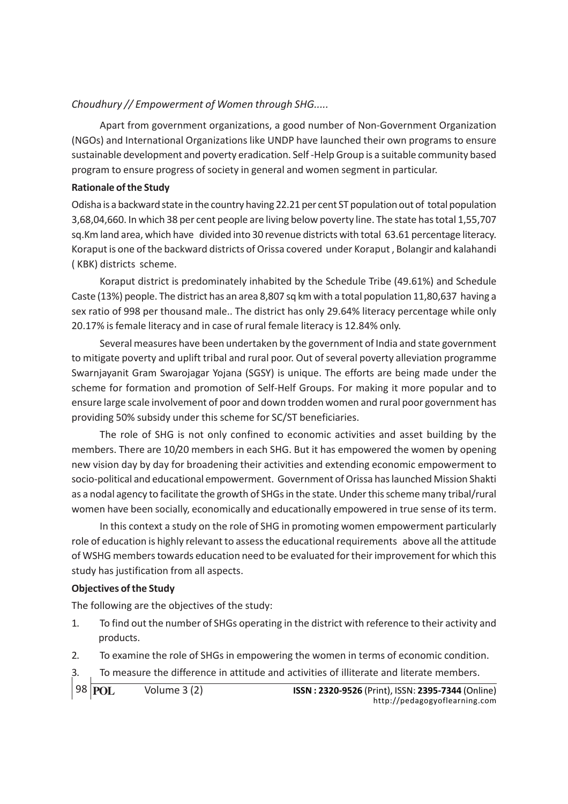Apart from government organizations, a good number of Non-Government Organization (NGOs) and International Organizations like UNDP have launched their own programs to ensure sustainable development and poverty eradication. Self -Help Group is a suitable community based program to ensure progress of society in general and women segment in particular.

## Rationale of the Study

Odisha is a backward state in the country having 22.21 per cent ST population out of total population 3,68,04,660. In which 38 per cent people are living below poverty line. The state has total 1,55,707 sq.Km land area, which have divided into 30 revenue districts with total 63.61 percentage literacy. Koraput is one of the backward districts of Orissa covered under Koraput , Bolangir and kalahandi ( KBK) districts scheme.

Koraput district is predominately inhabited by the Schedule Tribe (49.61%) and Schedule Caste (13%) people. The district has an area 8,807 sq km with a total population 11,80,637 having a sex ratio of 998 per thousand male.. The district has only 29.64% literacy percentage while only 20.17% is female literacy and in case of rural female literacy is 12.84% only.

Several measures have been undertaken by the government of India and state government to mitigate poverty and uplift tribal and rural poor. Out of several poverty alleviation programme Swarnjayanit Gram Swarojagar Yojana (SGSY) is unique. The efforts are being made under the scheme for formation and promotion of Self-Helf Groups. For making it more popular and to ensure large scale involvement of poor and down trodden women and rural poor government has providing 50% subsidy under this scheme for SC/ST beneficiaries.

The role of SHG is not only confined to economic activities and asset building by the members. There are 10/20 members in each SHG. But it has empowered the women by opening new vision day by day for broadening their activities and extending economic empowerment to socio-political and educational empowerment. Government of Orissa has launched Mission Shakti as a nodal agency to facilitate the growth of SHGs in the state. Under this scheme many tribal/rural women have been socially, economically and educationally empowered in true sense of its term.

In this context a study on the role of SHG in promoting women empowerment particularly role of education is highly relevant to assess the educational requirements above all the attitude of WSHG members towards education need to be evaluated for their improvement for which this study has justification from all aspects.

## Objectives of the Study

The following are the objectives of the study:

- 1. To find out the number of SHGs operating in the district with reference to their activity and products.
- 2. To examine the role of SHGs in empowering the women in terms of economic condition.
- 3. To measure the difference in attitude and activities of illiterate and literate members.

98 **POL**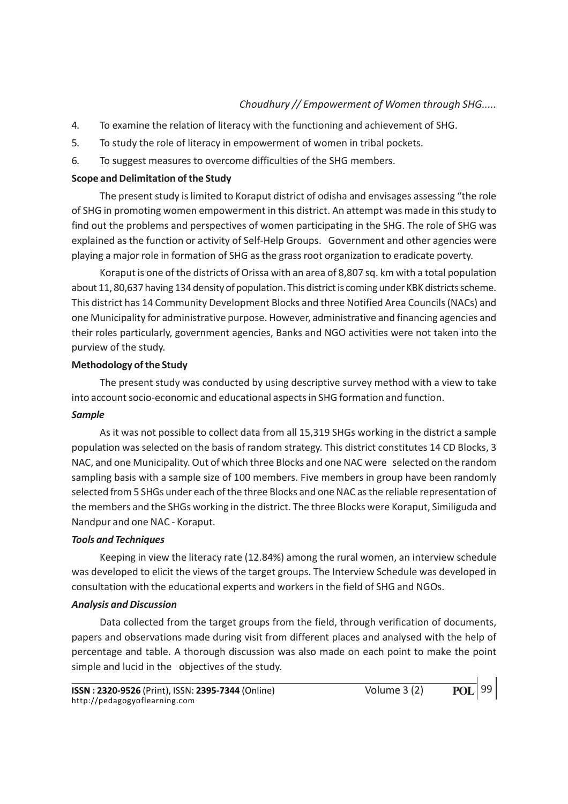- 4. To examine the relation of literacy with the functioning and achievement of SHG.
- 5. To study the role of literacy in empowerment of women in tribal pockets.
- 6. To suggest measures to overcome difficulties of the SHG members.

#### Scope and Delimitation of the Study

The present study is limited to Koraput district of odisha and envisages assessing "the role of SHG in promoting women empowerment in this district. An attempt was made in this study to find out the problems and perspectives of women participating in the SHG. The role of SHG was explained as the function or activity of Self-Help Groups. Government and other agencies were playing a major role in formation of SHG as the grass root organization to eradicate poverty.

Koraput is one of the districts of Orissa with an area of 8,807 sq. km with a total population about 11, 80,637 having 134 density of population. This district is coming under KBK districts scheme. This district has 14 Community Development Blocks and three Notified Area Councils (NACs) and one Municipality for administrative purpose. However, administrative and financing agencies and their roles particularly, government agencies, Banks and NGO activities were not taken into the purview of the study.

## Methodology of the Study

The present study was conducted by using descriptive survey method with a view to take into account socio-economic and educational aspects in SHG formation and function.

#### **Sample**

As it was not possible to collect data from all 15,319 SHGs working in the district a sample population was selected on the basis of random strategy. This district constitutes 14 CD Blocks, 3 NAC, and one Municipality. Out of which three Blocks and one NAC were selected on the random sampling basis with a sample size of 100 members. Five members in group have been randomly selected from 5 SHGs under each of the three Blocks and one NAC as the reliable representation of the members and the SHGs working in the district. The three Blocks were Koraput, Similiguda and Nandpur and one NAC - Koraput.

#### Tools and Techniques

Keeping in view the literacy rate (12.84%) among the rural women, an interview schedule was developed to elicit the views of the target groups. The Interview Schedule was developed in consultation with the educational experts and workers in the field of SHG and NGOs.

#### Analysis and Discussion

Data collected from the target groups from the field, through verification of documents, papers and observations made during visit from different places and analysed with the help of percentage and table. A thorough discussion was also made on each point to make the point simple and lucid in the objectives of the study.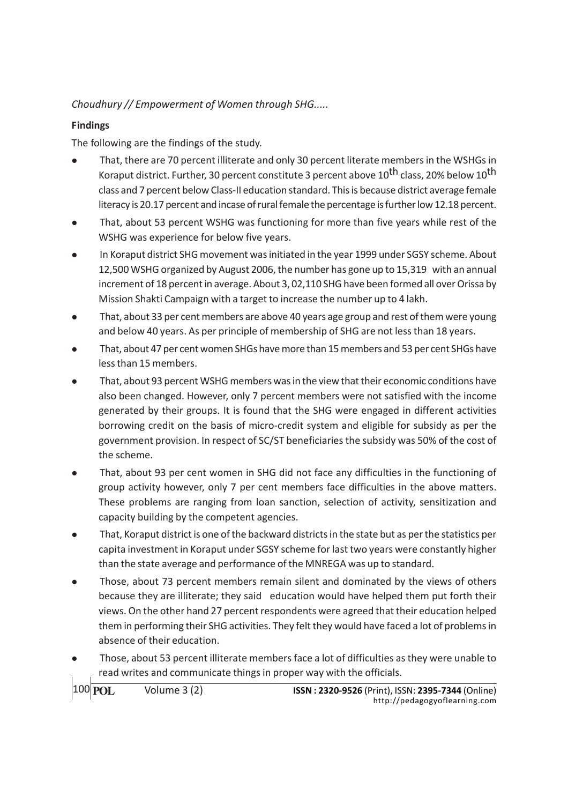# Findings

The following are the findings of the study.

- <sup>l</sup> That, there are 70 percent illiterate and only 30 percent literate members in the WSHGs in Koraput district. Further, 30 percent constitute 3 percent above 10<sup>th</sup> class, 20% below 10<sup>th</sup> class and 7 percent below Class-II education standard. This is because district average female literacy is 20.17 percent and incase of rural female the percentage is further low 12.18 percent.
- That, about 53 percent WSHG was functioning for more than five years while rest of the WSHG was experience for below five years.
- In Koraput district SHG movement was initiated in the year 1999 under SGSY scheme. About 12,500 WSHG organized by August 2006, the number has gone up to 15,319 with an annual increment of 18 percent in average. About 3, 02,110 SHG have been formed all over Orissa by Mission Shakti Campaign with a target to increase the number up to 4 lakh.
- <sup>l</sup> That, about 33 per cent members are above 40 years age group and rest of them were young and below 40 years. As per principle of membership of SHG are not less than 18 years.
- <sup>l</sup> That, about 47 per cent women SHGs have more than 15 members and 53 per cent SHGs have less than 15 members.
- That, about 93 percent WSHG members was in the view that their economic conditions have also been changed. However, only 7 percent members were not satisfied with the income generated by their groups. It is found that the SHG were engaged in different activities borrowing credit on the basis of micro-credit system and eligible for subsidy as per the government provision. In respect of SC/ST beneficiaries the subsidy was 50% of the cost of the scheme.
- <sup>l</sup> That, about 93 per cent women in SHG did not face any difficulties in the functioning of group activity however, only 7 per cent members face difficulties in the above matters. These problems are ranging from loan sanction, selection of activity, sensitization and capacity building by the competent agencies.
- <sup>l</sup> That, Koraput district is one of the backward districts in the state but as per the statistics per capita investment in Koraput under SGSY scheme for last two years were constantly higher than the state average and performance of the MNREGA was up to standard.
- <sup>l</sup> Those, about 73 percent members remain silent and dominated by the views of others because they are illiterate; they said education would have helped them put forth their views. On the other hand 27 percent respondents were agreed that their education helped them in performing their SHG activities. They felt they would have faced a lot of problems in absence of their education.
- Those, about 53 percent illiterate members face a lot of difficulties as they were unable to read writes and communicate things in proper way with the officials.

100 **POL**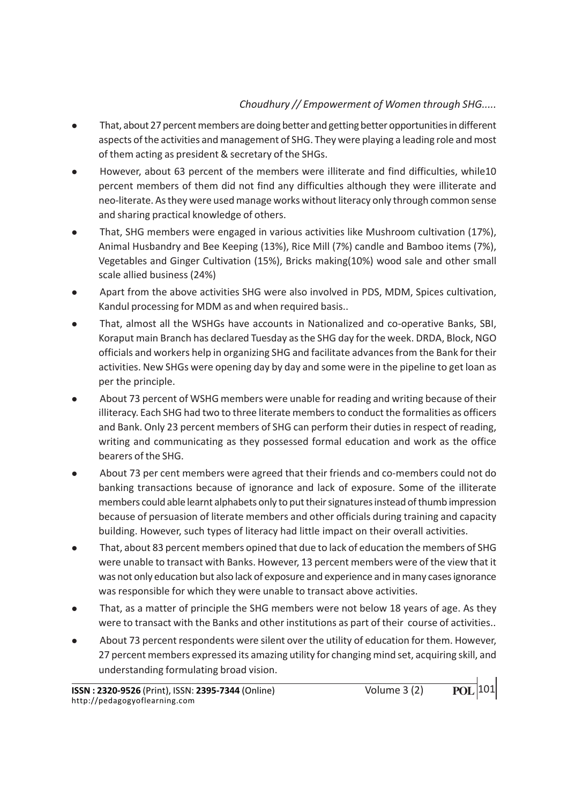- <sup>l</sup> That, about 27 percent members are doing better and getting better opportunities in different aspects of the activities and management of SHG. They were playing a leading role and most of them acting as president & secretary of the SHGs.
- However, about 63 percent of the members were illiterate and find difficulties, while10 percent members of them did not find any difficulties although they were illiterate and neo-literate. As they were used manage works without literacy only through common sense and sharing practical knowledge of others.
- That, SHG members were engaged in various activities like Mushroom cultivation (17%), Animal Husbandry and Bee Keeping (13%), Rice Mill (7%) candle and Bamboo items (7%), Vegetables and Ginger Cultivation (15%), Bricks making(10%) wood sale and other small scale allied business (24%)
- <sup>l</sup> Apart from the above activities SHG were also involved in PDS, MDM, Spices cultivation, Kandul processing for MDM as and when required basis..
- <sup>l</sup> That, almost all the WSHGs have accounts in Nationalized and co-operative Banks, SBI, Koraput main Branch has declared Tuesday as the SHG day for the week. DRDA, Block, NGO officials and workers help in organizing SHG and facilitate advances from the Bank for their activities. New SHGs were opening day by day and some were in the pipeline to get loan as per the principle.
- <sup>l</sup> About 73 percent of WSHG members were unable for reading and writing because of their illiteracy. Each SHG had two to three literate members to conduct the formalities as officers and Bank. Only 23 percent members of SHG can perform their duties in respect of reading, writing and communicating as they possessed formal education and work as the office bearers of the SHG.
- About 73 per cent members were agreed that their friends and co-members could not do banking transactions because of ignorance and lack of exposure. Some of the illiterate members could able learnt alphabets only to put their signatures instead of thumb impression because of persuasion of literate members and other officials during training and capacity building. However, such types of literacy had little impact on their overall activities.
- That, about 83 percent members opined that due to lack of education the members of SHG were unable to transact with Banks. However, 13 percent members were of the view that it was not only education but also lack of exposure and experience and in many cases ignorance was responsible for which they were unable to transact above activities.
- That, as a matter of principle the SHG members were not below 18 years of age. As they were to transact with the Banks and other institutions as part of their course of activities..
- <sup>l</sup> About 73 percent respondents were silent over the utility of education for them. However, 27 percent members expressed its amazing utility for changing mind set, acquiring skill, and understanding formulating broad vision.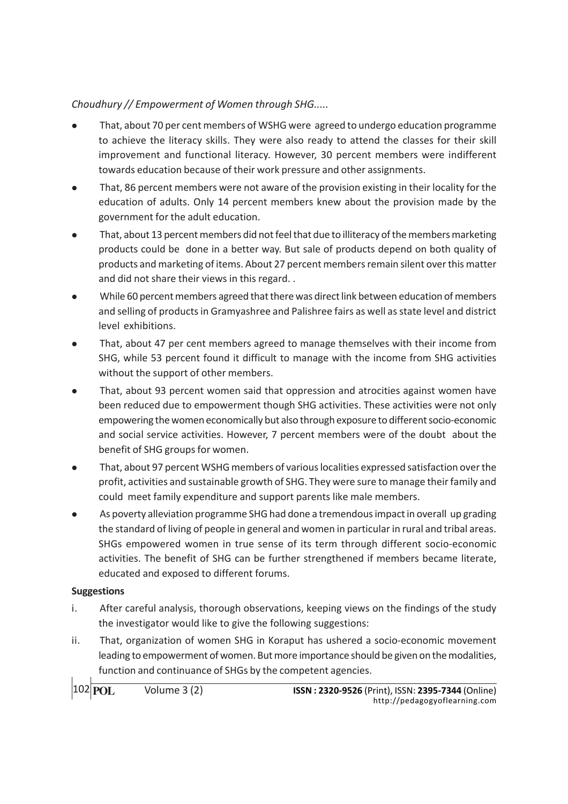- <sup>l</sup> That, about 70 per cent members of WSHG were agreed to undergo education programme to achieve the literacy skills. They were also ready to attend the classes for their skill improvement and functional literacy. However, 30 percent members were indifferent towards education because of their work pressure and other assignments.
- <sup>l</sup> That, 86 percent members were not aware of the provision existing in their locality for the education of adults. Only 14 percent members knew about the provision made by the government for the adult education.
- That, about 13 percent members did not feel that due to illiteracy of the members marketing products could be done in a better way. But sale of products depend on both quality of products and marketing of items. About 27 percent members remain silent over this matter and did not share their views in this regard. .
- <sup>l</sup> While 60 percent members agreed that there was direct link between education of members and selling of products in Gramyashree and Palishree fairs as well as state level and district level exhibitions.
- <sup>l</sup> That, about 47 per cent members agreed to manage themselves with their income from SHG, while 53 percent found it difficult to manage with the income from SHG activities without the support of other members.
- <sup>l</sup> That, about 93 percent women said that oppression and atrocities against women have been reduced due to empowerment though SHG activities. These activities were not only empowering the women economically but also through exposure to different socio-economic and social service activities. However, 7 percent members were of the doubt about the benefit of SHG groups for women.
- That, about 97 percent WSHG members of various localities expressed satisfaction over the profit, activities and sustainable growth of SHG. They were sure to manage their family and could meet family expenditure and support parents like male members.
- As poverty alleviation programme SHG had done a tremendous impact in overall up grading the standard of living of people in general and women in particular in rural and tribal areas. SHGs empowered women in true sense of its term through different socio-economic activities. The benefit of SHG can be further strengthened if members became literate, educated and exposed to different forums.

## **Suggestions**

- i. After careful analysis, thorough observations, keeping views on the findings of the study the investigator would like to give the following suggestions:
- ii. That, organization of women SHG in Koraput has ushered a socio-economic movement leading to empowerment of women. But more importance should be given on the modalities, function and continuance of SHGs by the competent agencies.

102 **POL**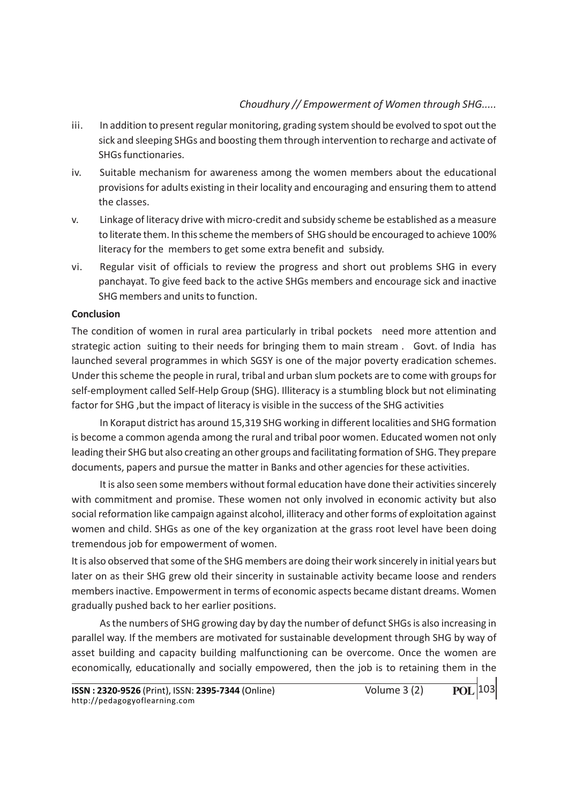- iii. In addition to present regular monitoring, grading system should be evolved to spot out the sick and sleeping SHGs and boosting them through intervention to recharge and activate of SHGs functionaries.
- iv. Suitable mechanism for awareness among the women members about the educational provisions for adults existing in their locality and encouraging and ensuring them to attend the classes.
- v. Linkage of literacy drive with micro-credit and subsidy scheme be established as a measure to literate them. In this scheme the members of SHG should be encouraged to achieve 100% literacy for the members to get some extra benefit and subsidy.
- vi. Regular visit of officials to review the progress and short out problems SHG in every panchayat. To give feed back to the active SHGs members and encourage sick and inactive SHG members and units to function.

## **Conclusion**

The condition of women in rural area particularly in tribal pockets need more attention and strategic action suiting to their needs for bringing them to main stream . Govt. of India has launched several programmes in which SGSY is one of the major poverty eradication schemes. Under this scheme the people in rural, tribal and urban slum pockets are to come with groups for self-employment called Self-Help Group (SHG). Illiteracy is a stumbling block but not eliminating factor for SHG ,but the impact of literacy is visible in the success of the SHG activities

In Koraput district has around 15,319 SHG working in different localities and SHG formation is become a common agenda among the rural and tribal poor women. Educated women not only leading their SHG but also creating an other groups and facilitating formation of SHG. They prepare documents, papers and pursue the matter in Banks and other agencies for these activities.

It is also seen some members without formal education have done their activities sincerely with commitment and promise. These women not only involved in economic activity but also social reformation like campaign against alcohol, illiteracy and other forms of exploitation against women and child. SHGs as one of the key organization at the grass root level have been doing tremendous job for empowerment of women.

It is also observed that some of the SHG members are doing their work sincerely in initial years but later on as their SHG grew old their sincerity in sustainable activity became loose and renders members inactive. Empowerment in terms of economic aspects became distant dreams. Women gradually pushed back to her earlier positions.

As the numbers of SHG growing day by day the number of defunct SHGs is also increasing in parallel way. If the members are motivated for sustainable development through SHG by way of asset building and capacity building malfunctioning can be overcome. Once the women are economically, educationally and socially empowered, then the job is to retaining them in the